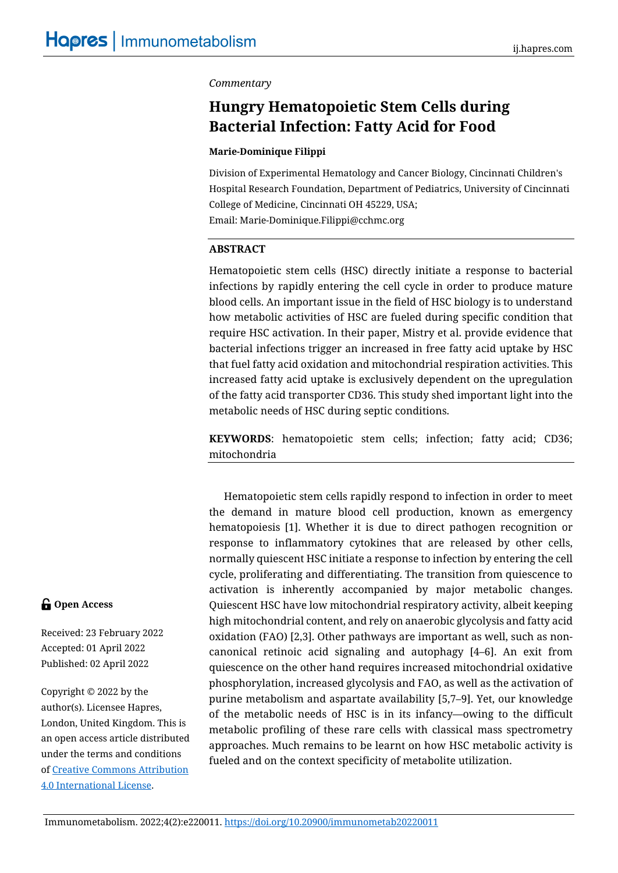## *Commentary*

# **Hungry Hematopoietic Stem Cells during Bacterial Infection: Fatty Acid for Food**

#### **Marie-Dominique Filippi**

Division of Experimental Hematology and Cancer Biology, Cincinnati Children's Hospital Research Foundation, Department of Pediatrics, University of Cincinnati College of Medicine, Cincinnati OH 45229, USA; Email: Marie-Dominique.Filippi@cchmc.org

#### **ABSTRACT**

Hematopoietic stem cells (HSC) directly initiate a response to bacterial infections by rapidly entering the cell cycle in order to produce mature blood cells. An important issue in the field of HSC biology is to understand how metabolic activities of HSC are fueled during specific condition that require HSC activation. In their paper, Mistry et al. provide evidence that bacterial infections trigger an increased in free fatty acid uptake by HSC that fuel fatty acid oxidation and mitochondrial respiration activities. This increased fatty acid uptake is exclusively dependent on the upregulation of the fatty acid transporter CD36. This study shed important light into the metabolic needs of HSC during septic conditions.

**KEYWORDS**: hematopoietic stem cells; infection; fatty acid; CD36; mitochondria

Hematopoietic stem cells rapidly respond to infection in order to meet the demand in mature blood cell production, known as emergency hematopoiesis [1]. Whether it is due to direct pathogen recognition or response to inflammatory cytokines that are released by other cells, normally quiescent HSC initiate a response to infection by entering the cell cycle, proliferating and differentiating. The transition from quiescence to activation is inherently accompanied by major metabolic changes. Quiescent HSC have low mitochondrial respiratory activity, albeit keeping high mitochondrial content, and rely on anaerobic glycolysis and fatty acid oxidation (FAO) [2,3]. Other pathways are important as well, such as noncanonical retinoic acid signaling and autophagy [4–6]. An exit from quiescence on the other hand requires increased mitochondrial oxidative phosphorylation, increased glycolysis and FAO, as well as the activation of purine metabolism and aspartate availability [5,7–9]. Yet, our knowledge of the metabolic needs of HSC is in its infancy—owing to the difficult metabolic profiling of these rare cells with classical mass spectrometry approaches. Much remains to be learnt on how HSC metabolic activity is fueled and on the context specificity of metabolite utilization.

# **G** Open Access

Received: 23 February 2022 Accepted: 01 April 2022 Published: 02 April 2022

Copyright © 2022 by the author(s). Licensee Hapres, London, United Kingdom. This is an open access article distributed under the terms and conditions o[f Creative Commons Attribution](https://creativecommons.org/licenses/by/4.0/)  [4.0 International License.](https://creativecommons.org/licenses/by/4.0/)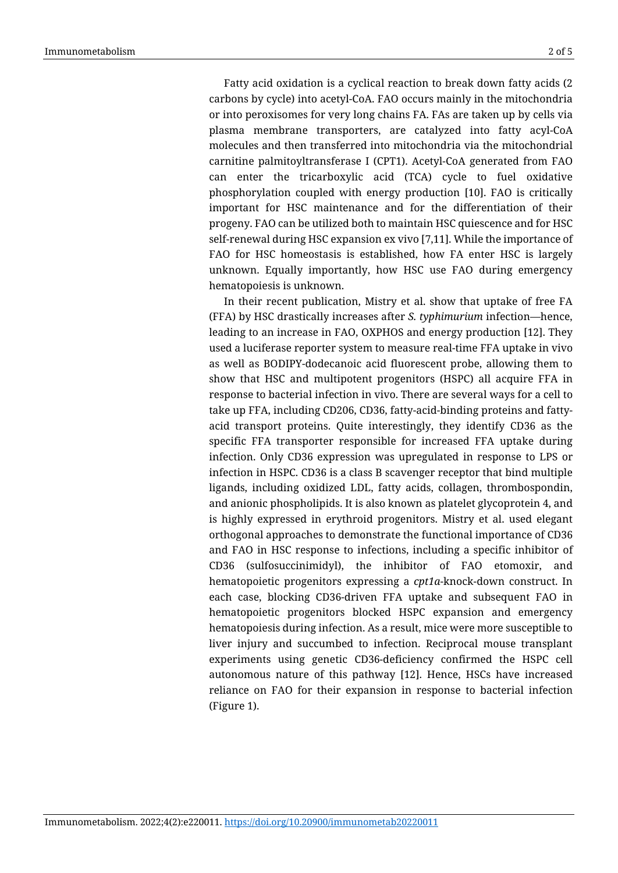Fatty acid oxidation is a cyclical reaction to break down fatty acids (2 carbons by cycle) into acetyl-CoA. FAO occurs mainly in the mitochondria or into peroxisomes for very long chains FA. FAs are taken up by cells via plasma membrane transporters, are catalyzed into fatty acyl-CoA molecules and then transferred into mitochondria via the mitochondrial carnitine palmitoyltransferase I (CPT1). Acetyl-CoA generated from FAO can enter the tricarboxylic acid (TCA) cycle to fuel oxidative phosphorylation coupled with energy production [10]. FAO is critically important for HSC maintenance and for the differentiation of their progeny. FAO can be utilized both to maintain HSC quiescence and for HSC self-renewal during HSC expansion ex vivo [7,11]. While the importance of FAO for HSC homeostasis is established, how FA enter HSC is largely unknown. Equally importantly, how HSC use FAO during emergency hematopoiesis is unknown.

In their recent publication, Mistry et al. show that uptake of free FA (FFA) by HSC drastically increases after *S. typhimurium* infection—hence, leading to an increase in FAO, OXPHOS and energy production [12]. They used a luciferase reporter system to measure real-time FFA uptake in vivo as well as BODIPY-dodecanoic acid fluorescent probe, allowing them to show that HSC and multipotent progenitors (HSPC) all acquire FFA in response to bacterial infection in vivo. There are several ways for a cell to take up FFA, including CD206, CD36, fatty-acid-binding proteins and fattyacid transport proteins. Quite interestingly, they identify CD36 as the specific FFA transporter responsible for increased FFA uptake during infection. Only CD36 expression was upregulated in response to LPS or infection in HSPC. CD36 is a class B scavenger receptor that bind multiple ligands, including oxidized LDL, fatty acids, collagen, thrombospondin, and anionic phospholipids. It is also known as platelet glycoprotein 4, and is highly expressed in erythroid progenitors. Mistry et al. used elegant orthogonal approaches to demonstrate the functional importance of CD36 and FAO in HSC response to infections, including a specific inhibitor of CD36 (sulfosuccinimidyl), the inhibitor of FAO etomoxir, and hematopoietic progenitors expressing a *cpt1a*-knock-down construct. In each case, blocking CD36-driven FFA uptake and subsequent FAO in hematopoietic progenitors blocked HSPC expansion and emergency hematopoiesis during infection. As a result, mice were more susceptible to liver injury and succumbed to infection. Reciprocal mouse transplant experiments using genetic CD36-deficiency confirmed the HSPC cell autonomous nature of this pathway [12]. Hence, HSCs have increased reliance on FAO for their expansion in response to bacterial infection (Figure 1).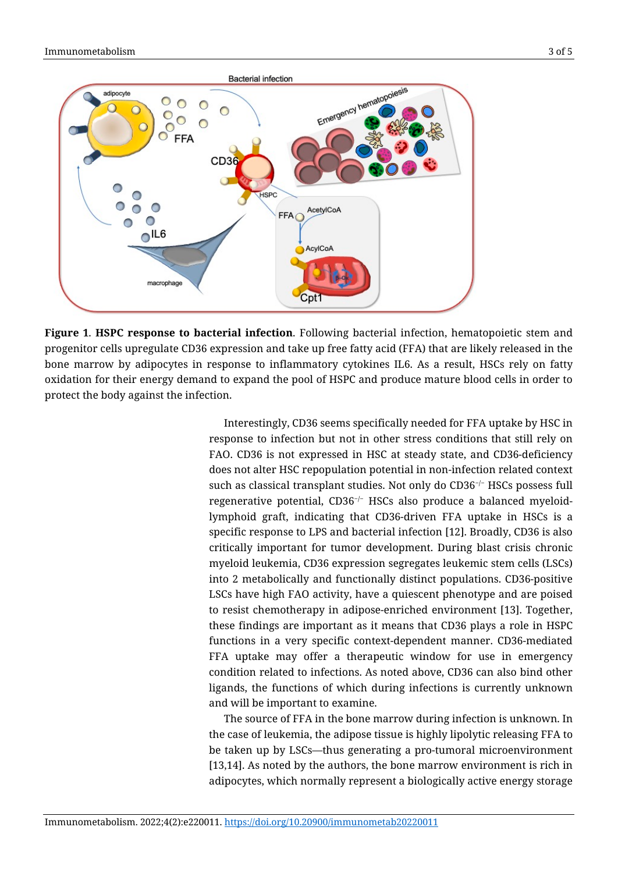

**Figure 1**. **HSPC response to bacterial infection**. Following bacterial infection, hematopoietic stem and progenitor cells upregulate CD36 expression and take up free fatty acid (FFA) that are likely released in the bone marrow by adipocytes in response to inflammatory cytokines IL6. As a result, HSCs rely on fatty oxidation for their energy demand to expand the pool of HSPC and produce mature blood cells in order to protect the body against the infection.

Interestingly, CD36 seems specifically needed for FFA uptake by HSC in response to infection but not in other stress conditions that still rely on FAO. CD36 is not expressed in HSC at steady state, and CD36-deficiency does not alter HSC repopulation potential in non-infection related context such as classical transplant studies. Not only do CD36<sup>−/−</sup> HSCs possess full regenerative potential, CD36<sup>−</sup>/<sup>−</sup> HSCs also produce a balanced myeloidlymphoid graft, indicating that CD36-driven FFA uptake in HSCs is a specific response to LPS and bacterial infection [12]. Broadly, CD36 is also critically important for tumor development. During blast crisis chronic myeloid leukemia, CD36 expression segregates leukemic stem cells (LSCs) into 2 metabolically and functionally distinct populations. CD36-positive LSCs have high FAO activity, have a quiescent phenotype and are poised to resist chemotherapy in adipose-enriched environment [13]. Together, these findings are important as it means that CD36 plays a role in HSPC functions in a very specific context-dependent manner. CD36-mediated FFA uptake may offer a therapeutic window for use in emergency condition related to infections. As noted above, CD36 can also bind other ligands, the functions of which during infections is currently unknown and will be important to examine.

The source of FFA in the bone marrow during infection is unknown. In the case of leukemia, the adipose tissue is highly lipolytic releasing FFA to be taken up by LSCs—thus generating a pro-tumoral microenvironment [13,14]. As noted by the authors, the bone marrow environment is rich in adipocytes, which normally represent a biologically active energy storage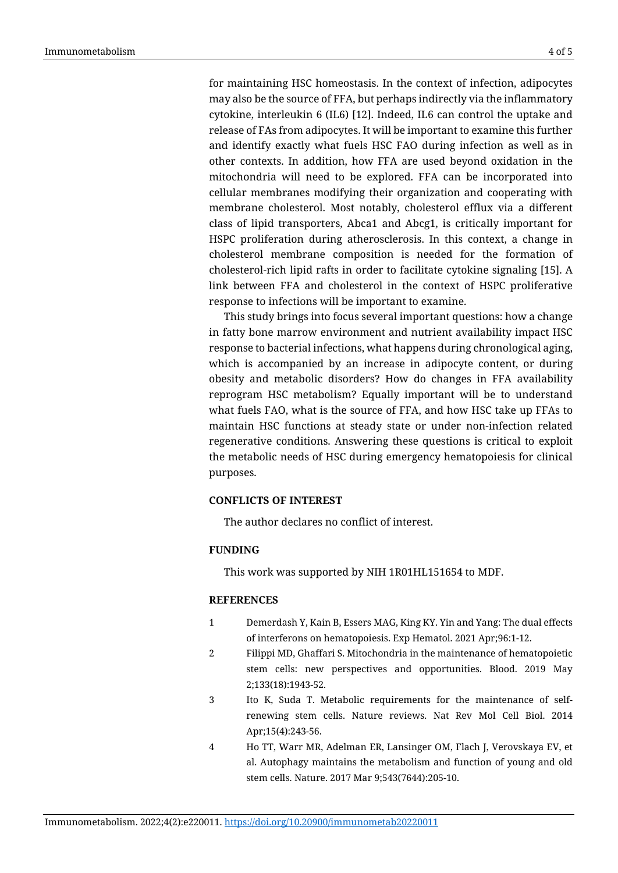for maintaining HSC homeostasis. In the context of infection, adipocytes may also be the source of FFA, but perhaps indirectly via the inflammatory cytokine, interleukin 6 (IL6) [12]. Indeed, IL6 can control the uptake and release of FAs from adipocytes. It will be important to examine this further and identify exactly what fuels HSC FAO during infection as well as in other contexts. In addition, how FFA are used beyond oxidation in the mitochondria will need to be explored. FFA can be incorporated into cellular membranes modifying their organization and cooperating with membrane cholesterol. Most notably, cholesterol efflux via a different class of lipid transporters, Abca1 and Abcg1, is critically important for HSPC proliferation during atherosclerosis. In this context, a change in cholesterol membrane composition is needed for the formation of cholesterol-rich lipid rafts in order to facilitate cytokine signaling [15]. A link between FFA and cholesterol in the context of HSPC proliferative response to infections will be important to examine.

This study brings into focus several important questions: how a change in fatty bone marrow environment and nutrient availability impact HSC response to bacterial infections, what happens during chronological aging, which is accompanied by an increase in adipocyte content, or during obesity and metabolic disorders? How do changes in FFA availability reprogram HSC metabolism? Equally important will be to understand what fuels FAO, what is the source of FFA, and how HSC take up FFAs to maintain HSC functions at steady state or under non-infection related regenerative conditions. Answering these questions is critical to exploit the metabolic needs of HSC during emergency hematopoiesis for clinical purposes.

## **CONFLICTS OF INTEREST**

The author declares no conflict of interest.

### **FUNDING**

This work was supported by NIH 1R01HL151654 to MDF.

#### **REFERENCES**

- 1 Demerdash Y, Kain B, Essers MAG, King KY. Yin and Yang: The dual effects of interferons on hematopoiesis. Exp Hematol. 2021 Apr;96:1-12.
- 2 Filippi MD, Ghaffari S. Mitochondria in the maintenance of hematopoietic stem cells: new perspectives and opportunities. Blood. 2019 May 2;133(18):1943-52.
- 3 Ito K, Suda T. Metabolic requirements for the maintenance of selfrenewing stem cells. Nature reviews. Nat Rev Mol Cell Biol. 2014 Apr;15(4):243-56.
- 4 Ho TT, Warr MR, Adelman ER, Lansinger OM, Flach J, Verovskaya EV, et al. Autophagy maintains the metabolism and function of young and old stem cells. Nature. 2017 Mar 9;543(7644):205-10.